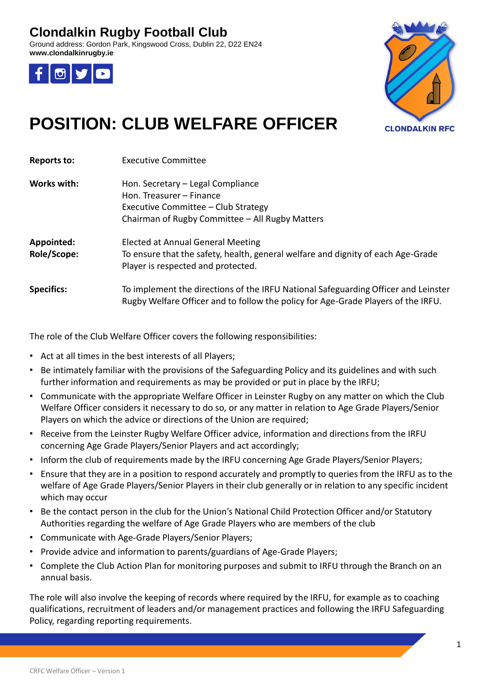#### **Clondalkin Rugby Football Club**

Ground address: Gordon Park, Kingswood Cross, Dublin 22, D22 EN24 **www.clondalkinrugby.ie**





## **POSITION: CLUB WELFARE OFFICER**

| <b>Reports to:</b>        | <b>Executive Committee</b>                                                                                                                                              |
|---------------------------|-------------------------------------------------------------------------------------------------------------------------------------------------------------------------|
| Works with:               | Hon. Secretary – Legal Compliance<br>Hon. Treasurer – Finance<br>Executive Committee - Club Strategy<br>Chairman of Rugby Committee - All Rugby Matters                 |
| Appointed:<br>Role/Scope: | Elected at Annual General Meeting<br>To ensure that the safety, health, general welfare and dignity of each Age-Grade<br>Player is respected and protected.             |
| <b>Specifics:</b>         | To implement the directions of the IRFU National Safeguarding Officer and Leinster<br>Rugby Welfare Officer and to follow the policy for Age-Grade Players of the IRFU. |

The role of the Club Welfare Officer covers the following responsibilities:

- Act at all times in the best interests of all Players;
- Be intimately familiar with the provisions of the Safeguarding Policy and its guidelines and with such further information and requirements as may be provided or put in place by the IRFU;
- Communicate with the appropriate Welfare Officer in Leinster Rugby on any matter on which the Club Welfare Officer considers it necessary to do so, or any matter in relation to Age Grade Players/Senior Players on which the advice or directions of the Union are required;
- Receive from the Leinster Rugby Welfare Officer advice, information and directions from the IRFU concerning Age Grade Players/Senior Players and act accordingly;
- Inform the club of requirements made by the IRFU concerning Age Grade Players/Senior Players;
- Ensure that they are in a position to respond accurately and promptly to queries from the IRFU as to the welfare of Age Grade Players/Senior Players in their club generally or in relation to any specific incident which may occur
- Be the contact person in the club for the Union's National Child Protection Officer and/or Statutory Authorities regarding the welfare of Age Grade Players who are members of the club
- Communicate with Age-Grade Players/Senior Players;
- Provide advice and information to parents/guardians of Age-Grade Players;
- Complete the Club Action Plan for monitoring purposes and submit to IRFU through the Branch on an annual basis.

The role will also involve the keeping of records where required by the IRFU, for example as to coaching qualifications, recruitment of leaders and/or management practices and following the IRFU Safeguarding Policy, regarding reporting requirements.